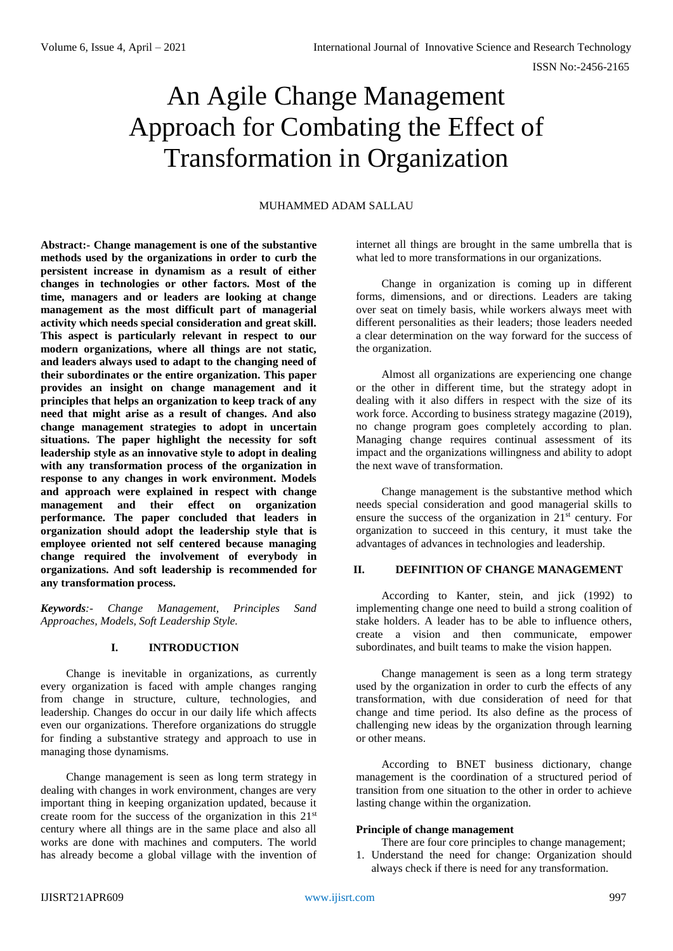# An Agile Change Management Approach for Combating the Effect of Transformation in Organization

# MUHAMMED ADAM SALLAU

**Abstract:- Change management is one of the substantive methods used by the organizations in order to curb the persistent increase in dynamism as a result of either changes in technologies or other factors. Most of the time, managers and or leaders are looking at change management as the most difficult part of managerial activity which needs special consideration and great skill. This aspect is particularly relevant in respect to our modern organizations, where all things are not static, and leaders always used to adapt to the changing need of their subordinates or the entire organization. This paper provides an insight on change management and it principles that helps an organization to keep track of any need that might arise as a result of changes. And also change management strategies to adopt in uncertain situations. The paper highlight the necessity for soft leadership style as an innovative style to adopt in dealing with any transformation process of the organization in response to any changes in work environment. Models and approach were explained in respect with change management and their effect on organization performance. The paper concluded that leaders in organization should adopt the leadership style that is employee oriented not self centered because managing change required the involvement of everybody in organizations. And soft leadership is recommended for any transformation process.**

*Keywords:- Change Management, Principles Sand Approaches, Models, Soft Leadership Style.*

# **I. INTRODUCTION**

Change is inevitable in organizations, as currently every organization is faced with ample changes ranging from change in structure, culture, technologies, and leadership. Changes do occur in our daily life which affects even our organizations. Therefore organizations do struggle for finding a substantive strategy and approach to use in managing those dynamisms.

Change management is seen as long term strategy in dealing with changes in work environment, changes are very important thing in keeping organization updated, because it create room for the success of the organization in this 21<sup>st</sup> century where all things are in the same place and also all works are done with machines and computers. The world has already become a global village with the invention of internet all things are brought in the same umbrella that is what led to more transformations in our organizations.

Change in organization is coming up in different forms, dimensions, and or directions. Leaders are taking over seat on timely basis, while workers always meet with different personalities as their leaders; those leaders needed a clear determination on the way forward for the success of the organization.

Almost all organizations are experiencing one change or the other in different time, but the strategy adopt in dealing with it also differs in respect with the size of its work force. According to business strategy magazine (2019), no change program goes completely according to plan. Managing change requires continual assessment of its impact and the organizations willingness and ability to adopt the next wave of transformation.

Change management is the substantive method which needs special consideration and good managerial skills to ensure the success of the organization in 21st century. For organization to succeed in this century, it must take the advantages of advances in technologies and leadership.

## **II. DEFINITION OF CHANGE MANAGEMENT**

According to Kanter, stein, and jick (1992) to implementing change one need to build a strong coalition of stake holders. A leader has to be able to influence others, create a vision and then communicate, empower subordinates, and built teams to make the vision happen.

Change management is seen as a long term strategy used by the organization in order to curb the effects of any transformation, with due consideration of need for that change and time period. Its also define as the process of challenging new ideas by the organization through learning or other means.

According to BNET business dictionary, change management is the coordination of a structured period of transition from one situation to the other in order to achieve lasting change within the organization.

#### **Principle of change management**

- There are four core principles to change management;
- 1. Understand the need for change: Organization should always check if there is need for any transformation.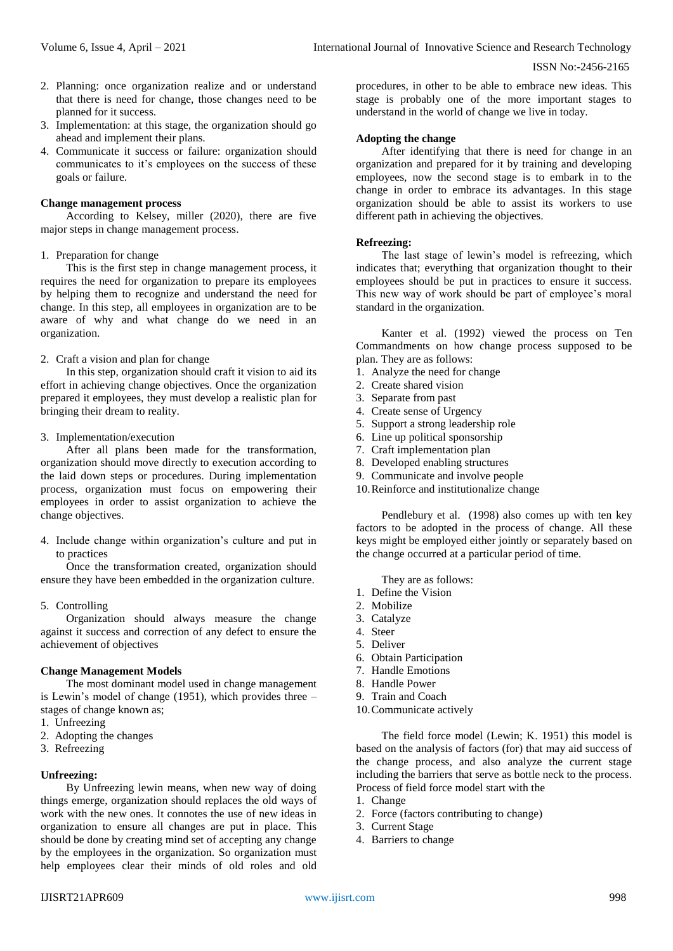- 2. Planning: once organization realize and or understand that there is need for change, those changes need to be planned for it success.
- 3. Implementation: at this stage, the organization should go ahead and implement their plans.
- 4. Communicate it success or failure: organization should communicates to it's employees on the success of these goals or failure.

## **Change management process**

According to Kelsey, miller (2020), there are five major steps in change management process.

#### 1. Preparation for change

This is the first step in change management process, it requires the need for organization to prepare its employees by helping them to recognize and understand the need for change. In this step, all employees in organization are to be aware of why and what change do we need in an organization.

## 2. Craft a vision and plan for change

In this step, organization should craft it vision to aid its effort in achieving change objectives. Once the organization prepared it employees, they must develop a realistic plan for bringing their dream to reality.

## 3. Implementation/execution

After all plans been made for the transformation, organization should move directly to execution according to the laid down steps or procedures. During implementation process, organization must focus on empowering their employees in order to assist organization to achieve the change objectives.

4. Include change within organization's culture and put in to practices

Once the transformation created, organization should ensure they have been embedded in the organization culture.

#### 5. Controlling

Organization should always measure the change against it success and correction of any defect to ensure the achievement of objectives

#### **Change Management Models**

The most dominant model used in change management is Lewin's model of change (1951), which provides three – stages of change known as;

- 1. Unfreezing
- 2. Adopting the changes
- 3. Refreezing

#### **Unfreezing:**

By Unfreezing lewin means, when new way of doing things emerge, organization should replaces the old ways of work with the new ones. It connotes the use of new ideas in organization to ensure all changes are put in place. This should be done by creating mind set of accepting any change by the employees in the organization. So organization must help employees clear their minds of old roles and old procedures, in other to be able to embrace new ideas. This stage is probably one of the more important stages to understand in the world of change we live in today.

## **Adopting the change**

After identifying that there is need for change in an organization and prepared for it by training and developing employees, now the second stage is to embark in to the change in order to embrace its advantages. In this stage organization should be able to assist its workers to use different path in achieving the objectives.

## **Refreezing:**

The last stage of lewin's model is refreezing, which indicates that; everything that organization thought to their employees should be put in practices to ensure it success. This new way of work should be part of employee's moral standard in the organization.

Kanter et al. (1992) viewed the process on Ten Commandments on how change process supposed to be plan. They are as follows:

- 1. Analyze the need for change
- 2. Create shared vision
- 3. Separate from past
- 4. Create sense of Urgency
- 5. Support a strong leadership role
- 6. Line up political sponsorship
- 7. Craft implementation plan
- 8. Developed enabling structures
- 9. Communicate and involve people
- 10.Reinforce and institutionalize change

Pendlebury et al. (1998) also comes up with ten key factors to be adopted in the process of change. All these keys might be employed either jointly or separately based on the change occurred at a particular period of time.

They are as follows:

- 1. Define the Vision
- 2. Mobilize
- 3. Catalyze
- 4. Steer
- 5. Deliver
- 6. Obtain Participation
- 7. Handle Emotions
- 8. Handle Power
- 9. Train and Coach
- 10.Communicate actively

The field force model (Lewin; K. 1951) this model is based on the analysis of factors (for) that may aid success of the change process, and also analyze the current stage including the barriers that serve as bottle neck to the process. Process of field force model start with the

- 1. Change
- 2. Force (factors contributing to change)
- 3. Current Stage
- 4. Barriers to change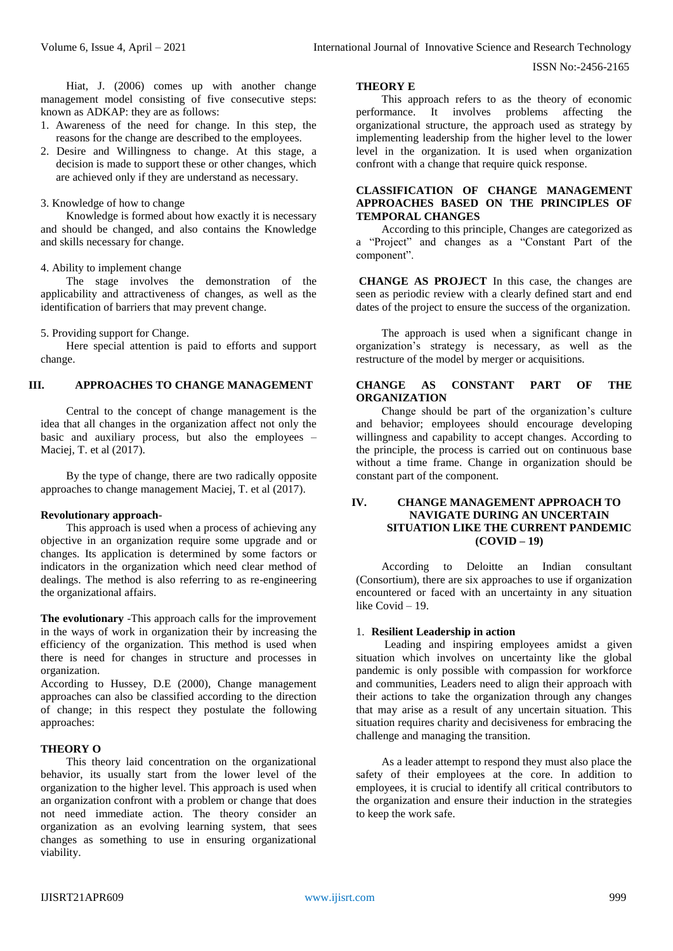Hiat, J. (2006) comes up with another change management model consisting of five consecutive steps: known as ADKAP: they are as follows:

- 1. Awareness of the need for change. In this step, the reasons for the change are described to the employees.
- 2. Desire and Willingness to change. At this stage, a decision is made to support these or other changes, which are achieved only if they are understand as necessary.

## 3. Knowledge of how to change

Knowledge is formed about how exactly it is necessary and should be changed, and also contains the Knowledge and skills necessary for change.

## 4. Ability to implement change

The stage involves the demonstration of the applicability and attractiveness of changes, as well as the identification of barriers that may prevent change.

5. Providing support for Change.

Here special attention is paid to efforts and support change.

# **III. APPROACHES TO CHANGE MANAGEMENT**

Central to the concept of change management is the idea that all changes in the organization affect not only the basic and auxiliary process, but also the employees – Maciej, T. et al (2017).

By the type of change, there are two radically opposite approaches to change management Maciej, T. et al (2017).

## **Revolutionary approach**-

This approach is used when a process of achieving any objective in an organization require some upgrade and or changes. Its application is determined by some factors or indicators in the organization which need clear method of dealings. The method is also referring to as re-engineering the organizational affairs.

**The evolutionary** -This approach calls for the improvement in the ways of work in organization their by increasing the efficiency of the organization. This method is used when there is need for changes in structure and processes in organization.

According to Hussey, D.E (2000), Change management approaches can also be classified according to the direction of change; in this respect they postulate the following approaches:

## **THEORY O**

This theory laid concentration on the organizational behavior, its usually start from the lower level of the organization to the higher level. This approach is used when an organization confront with a problem or change that does not need immediate action. The theory consider an organization as an evolving learning system, that sees changes as something to use in ensuring organizational viability.

# **THEORY E**

This approach refers to as the theory of economic performance. It involves problems affecting the organizational structure, the approach used as strategy by implementing leadership from the higher level to the lower level in the organization. It is used when organization confront with a change that require quick response.

# **CLASSIFICATION OF CHANGE MANAGEMENT APPROACHES BASED ON THE PRINCIPLES OF TEMPORAL CHANGES**

According to this principle, Changes are categorized as a "Project" and changes as a "Constant Part of the component".

**CHANGE AS PROJECT** In this case, the changes are seen as periodic review with a clearly defined start and end dates of the project to ensure the success of the organization.

The approach is used when a significant change in organization's strategy is necessary, as well as the restructure of the model by merger or acquisitions.

# **CHANGE AS CONSTANT PART OF THE ORGANIZATION**

Change should be part of the organization's culture and behavior; employees should encourage developing willingness and capability to accept changes. According to the principle, the process is carried out on continuous base without a time frame. Change in organization should be constant part of the component.

# **IV. CHANGE MANAGEMENT APPROACH TO NAVIGATE DURING AN UNCERTAIN SITUATION LIKE THE CURRENT PANDEMIC (COVID – 19)**

According to Deloitte an Indian consultant (Consortium), there are six approaches to use if organization encountered or faced with an uncertainty in any situation like Covid – 19.

#### 1. **Resilient Leadership in action**

Leading and inspiring employees amidst a given situation which involves on uncertainty like the global pandemic is only possible with compassion for workforce and communities, Leaders need to align their approach with their actions to take the organization through any changes that may arise as a result of any uncertain situation. This situation requires charity and decisiveness for embracing the challenge and managing the transition.

As a leader attempt to respond they must also place the safety of their employees at the core. In addition to employees, it is crucial to identify all critical contributors to the organization and ensure their induction in the strategies to keep the work safe.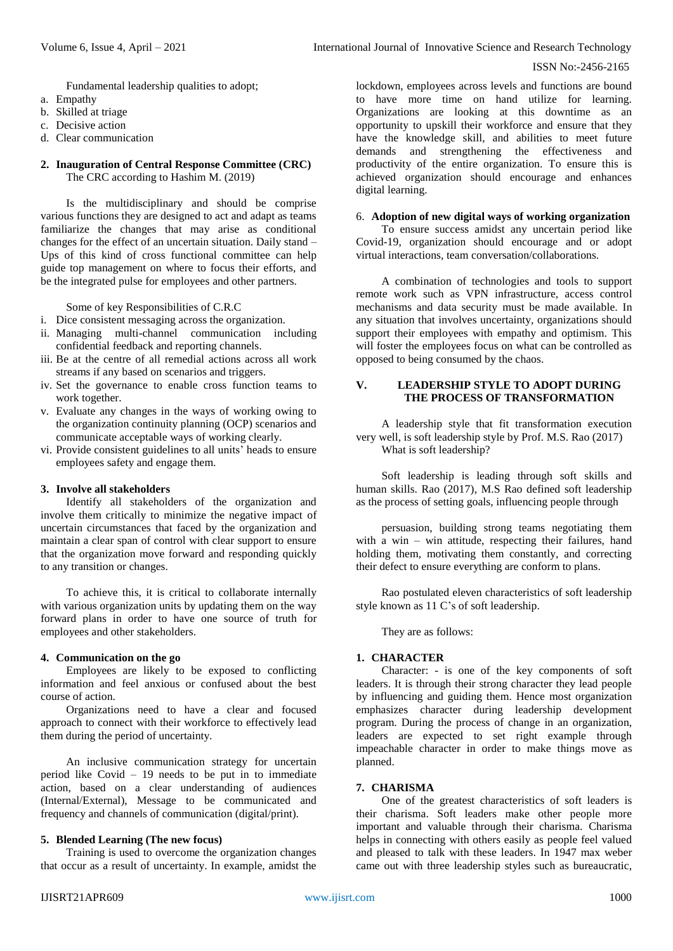Fundamental leadership qualities to adopt;

- a. Empathy
- b. Skilled at triage
- c. Decisive action
- d. Clear communication

# **2. Inauguration of Central Response Committee (CRC)** The CRC according to Hashim M. (2019)

Is the multidisciplinary and should be comprise various functions they are designed to act and adapt as teams familiarize the changes that may arise as conditional changes for the effect of an uncertain situation. Daily stand – Ups of this kind of cross functional committee can help guide top management on where to focus their efforts, and be the integrated pulse for employees and other partners.

Some of key Responsibilities of C.R.C

- i. Dice consistent messaging across the organization.
- ii. Managing multi-channel communication including confidential feedback and reporting channels.
- iii. Be at the centre of all remedial actions across all work streams if any based on scenarios and triggers.
- iv. Set the governance to enable cross function teams to work together.
- v. Evaluate any changes in the ways of working owing to the organization continuity planning (OCP) scenarios and communicate acceptable ways of working clearly.
- vi. Provide consistent guidelines to all units' heads to ensure employees safety and engage them.

# **3. Involve all stakeholders**

Identify all stakeholders of the organization and involve them critically to minimize the negative impact of uncertain circumstances that faced by the organization and maintain a clear span of control with clear support to ensure that the organization move forward and responding quickly to any transition or changes.

To achieve this, it is critical to collaborate internally with various organization units by updating them on the way forward plans in order to have one source of truth for employees and other stakeholders.

# **4. Communication on the go**

Employees are likely to be exposed to conflicting information and feel anxious or confused about the best course of action.

Organizations need to have a clear and focused approach to connect with their workforce to effectively lead them during the period of uncertainty.

An inclusive communication strategy for uncertain period like Covid  $-19$  needs to be put in to immediate action, based on a clear understanding of audiences (Internal/External), Message to be communicated and frequency and channels of communication (digital/print).

# **5. Blended Learning (The new focus)**

Training is used to overcome the organization changes that occur as a result of uncertainty. In example, amidst the lockdown, employees across levels and functions are bound to have more time on hand utilize for learning. Organizations are looking at this downtime as an opportunity to upskill their workforce and ensure that they have the knowledge skill, and abilities to meet future demands and strengthening the effectiveness and productivity of the entire organization. To ensure this is achieved organization should encourage and enhances digital learning.

# 6. **Adoption of new digital ways of working organization**

To ensure success amidst any uncertain period like Covid-19, organization should encourage and or adopt virtual interactions, team conversation/collaborations.

A combination of technologies and tools to support remote work such as VPN infrastructure, access control mechanisms and data security must be made available. In any situation that involves uncertainty, organizations should support their employees with empathy and optimism. This will foster the employees focus on what can be controlled as opposed to being consumed by the chaos.

# **V. LEADERSHIP STYLE TO ADOPT DURING THE PROCESS OF TRANSFORMATION**

A leadership style that fit transformation execution very well, is soft leadership style by Prof. M.S. Rao (2017) What is soft leadership?

Soft leadership is leading through soft skills and human skills. Rao (2017), M.S Rao defined soft leadership as the process of setting goals, influencing people through

persuasion, building strong teams negotiating them with a win – win attitude, respecting their failures, hand holding them, motivating them constantly, and correcting their defect to ensure everything are conform to plans.

Rao postulated eleven characteristics of soft leadership style known as 11 C's of soft leadership.

They are as follows:

# **1. CHARACTER**

Character: - is one of the key components of soft leaders. It is through their strong character they lead people by influencing and guiding them. Hence most organization emphasizes character during leadership development program. During the process of change in an organization, leaders are expected to set right example through impeachable character in order to make things move as planned.

# **7. CHARISMA**

One of the greatest characteristics of soft leaders is their charisma. Soft leaders make other people more important and valuable through their charisma. Charisma helps in connecting with others easily as people feel valued and pleased to talk with these leaders. In 1947 max weber came out with three leadership styles such as bureaucratic,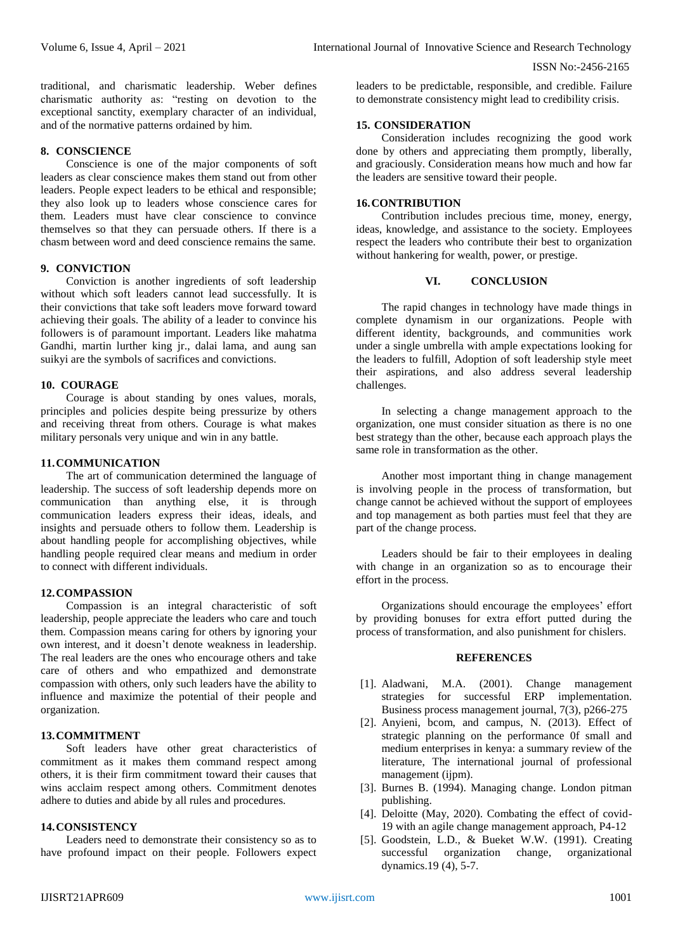traditional, and charismatic leadership. Weber defines charismatic authority as: "resting on devotion to the exceptional sanctity, exemplary character of an individual, and of the normative patterns ordained by him.

#### **8. CONSCIENCE**

Conscience is one of the major components of soft leaders as clear conscience makes them stand out from other leaders. People expect leaders to be ethical and responsible; they also look up to leaders whose conscience cares for them. Leaders must have clear conscience to convince themselves so that they can persuade others. If there is a chasm between word and deed conscience remains the same.

# **9. CONVICTION**

Conviction is another ingredients of soft leadership without which soft leaders cannot lead successfully. It is their convictions that take soft leaders move forward toward achieving their goals. The ability of a leader to convince his followers is of paramount important. Leaders like mahatma Gandhi, martin lurther king jr., dalai lama, and aung san suikyi are the symbols of sacrifices and convictions.

## **10. COURAGE**

Courage is about standing by ones values, morals, principles and policies despite being pressurize by others and receiving threat from others. Courage is what makes military personals very unique and win in any battle.

### **11.COMMUNICATION**

The art of communication determined the language of leadership. The success of soft leadership depends more on communication than anything else, it is through communication leaders express their ideas, ideals, and insights and persuade others to follow them. Leadership is about handling people for accomplishing objectives, while handling people required clear means and medium in order to connect with different individuals.

#### **12.COMPASSION**

Compassion is an integral characteristic of soft leadership, people appreciate the leaders who care and touch them. Compassion means caring for others by ignoring your own interest, and it doesn't denote weakness in leadership. The real leaders are the ones who encourage others and take care of others and who empathized and demonstrate compassion with others, only such leaders have the ability to influence and maximize the potential of their people and organization.

# **13.COMMITMENT**

Soft leaders have other great characteristics of commitment as it makes them command respect among others, it is their firm commitment toward their causes that wins acclaim respect among others. Commitment denotes adhere to duties and abide by all rules and procedures.

## **14.CONSISTENCY**

Leaders need to demonstrate their consistency so as to have profound impact on their people. Followers expect

leaders to be predictable, responsible, and credible. Failure to demonstrate consistency might lead to credibility crisis.

## **15. CONSIDERATION**

Consideration includes recognizing the good work done by others and appreciating them promptly, liberally, and graciously. Consideration means how much and how far the leaders are sensitive toward their people.

# **16.CONTRIBUTION**

Contribution includes precious time, money, energy, ideas, knowledge, and assistance to the society. Employees respect the leaders who contribute their best to organization without hankering for wealth, power, or prestige.

## **VI. CONCLUSION**

The rapid changes in technology have made things in complete dynamism in our organizations. People with different identity, backgrounds, and communities work under a single umbrella with ample expectations looking for the leaders to fulfill, Adoption of soft leadership style meet their aspirations, and also address several leadership challenges.

In selecting a change management approach to the organization, one must consider situation as there is no one best strategy than the other, because each approach plays the same role in transformation as the other.

Another most important thing in change management is involving people in the process of transformation, but change cannot be achieved without the support of employees and top management as both parties must feel that they are part of the change process.

Leaders should be fair to their employees in dealing with change in an organization so as to encourage their effort in the process.

Organizations should encourage the employees' effort by providing bonuses for extra effort putted during the process of transformation, and also punishment for chislers.

#### **REFERENCES**

- [1]. Aladwani, M.A. (2001). Change management strategies for successful ERP implementation. Business process management journal, 7(3), p266-275
- [2]. Anyieni, bcom, and campus, N. (2013). Effect of strategic planning on the performance 0f small and medium enterprises in kenya: a summary review of the literature, The international journal of professional management (ijpm).
- [3]. Burnes B. (1994). Managing change. London pitman publishing.
- [4]. Deloitte (May, 2020). Combating the effect of covid-19 with an agile change management approach, P4-12
- [5]. Goodstein, L.D., & Bueket W.W. (1991). Creating successful organization change, organizational dynamics.19 (4), 5-7.